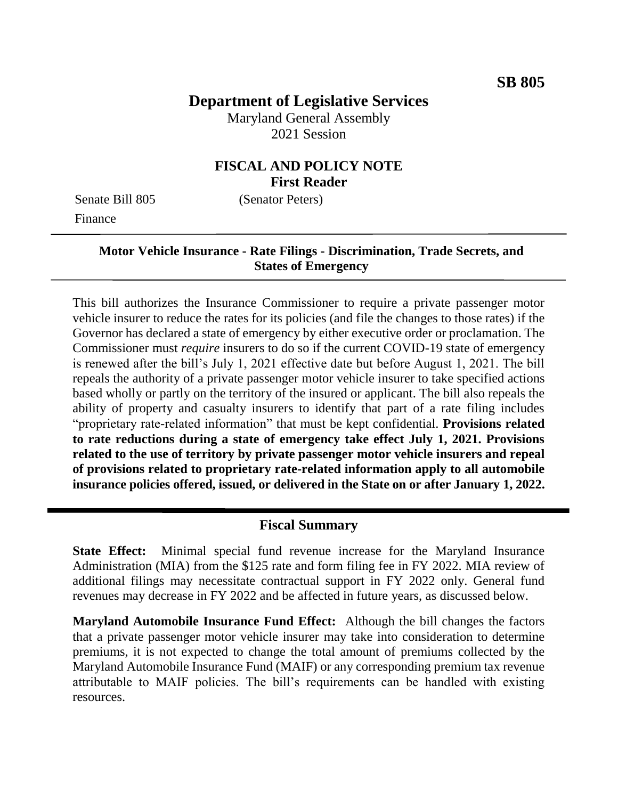## **Department of Legislative Services**

Maryland General Assembly 2021 Session

### **FISCAL AND POLICY NOTE First Reader**

Senate Bill 805 (Senator Peters) Finance

#### **Motor Vehicle Insurance - Rate Filings - Discrimination, Trade Secrets, and States of Emergency**

This bill authorizes the Insurance Commissioner to require a private passenger motor vehicle insurer to reduce the rates for its policies (and file the changes to those rates) if the Governor has declared a state of emergency by either executive order or proclamation. The Commissioner must *require* insurers to do so if the current COVID-19 state of emergency is renewed after the bill's July 1, 2021 effective date but before August 1, 2021. The bill repeals the authority of a private passenger motor vehicle insurer to take specified actions based wholly or partly on the territory of the insured or applicant. The bill also repeals the ability of property and casualty insurers to identify that part of a rate filing includes "proprietary rate-related information" that must be kept confidential. **Provisions related to rate reductions during a state of emergency take effect July 1, 2021. Provisions related to the use of territory by private passenger motor vehicle insurers and repeal of provisions related to proprietary rate-related information apply to all automobile insurance policies offered, issued, or delivered in the State on or after January 1, 2022.**

#### **Fiscal Summary**

**State Effect:** Minimal special fund revenue increase for the Maryland Insurance Administration (MIA) from the \$125 rate and form filing fee in FY 2022. MIA review of additional filings may necessitate contractual support in FY 2022 only. General fund revenues may decrease in FY 2022 and be affected in future years, as discussed below.

**Maryland Automobile Insurance Fund Effect:** Although the bill changes the factors that a private passenger motor vehicle insurer may take into consideration to determine premiums, it is not expected to change the total amount of premiums collected by the Maryland Automobile Insurance Fund (MAIF) or any corresponding premium tax revenue attributable to MAIF policies. The bill's requirements can be handled with existing resources.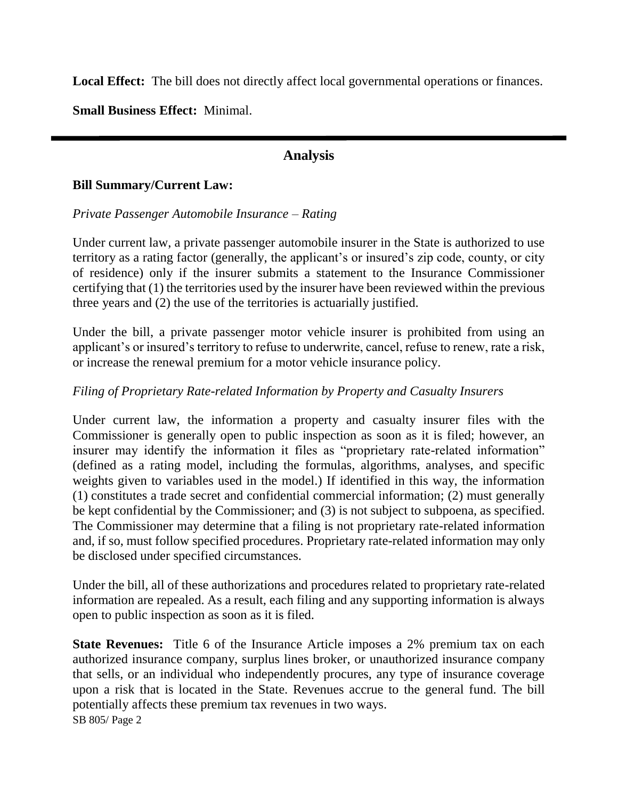Local Effect: The bill does not directly affect local governmental operations or finances.

**Small Business Effect:** Minimal.

### **Analysis**

#### **Bill Summary/Current Law:**

#### *Private Passenger Automobile Insurance – Rating*

Under current law, a private passenger automobile insurer in the State is authorized to use territory as a rating factor (generally, the applicant's or insured's zip code, county, or city of residence) only if the insurer submits a statement to the Insurance Commissioner certifying that (1) the territories used by the insurer have been reviewed within the previous three years and (2) the use of the territories is actuarially justified.

Under the bill, a private passenger motor vehicle insurer is prohibited from using an applicant's or insured's territory to refuse to underwrite, cancel, refuse to renew, rate a risk, or increase the renewal premium for a motor vehicle insurance policy.

#### *Filing of Proprietary Rate-related Information by Property and Casualty Insurers*

Under current law, the information a property and casualty insurer files with the Commissioner is generally open to public inspection as soon as it is filed; however, an insurer may identify the information it files as "proprietary rate-related information" (defined as a rating model, including the formulas, algorithms, analyses, and specific weights given to variables used in the model.) If identified in this way, the information (1) constitutes a trade secret and confidential commercial information; (2) must generally be kept confidential by the Commissioner; and (3) is not subject to subpoena, as specified. The Commissioner may determine that a filing is not proprietary rate-related information and, if so, must follow specified procedures. Proprietary rate-related information may only be disclosed under specified circumstances.

Under the bill, all of these authorizations and procedures related to proprietary rate-related information are repealed. As a result, each filing and any supporting information is always open to public inspection as soon as it is filed.

SB 805/ Page 2 **State Revenues:** Title 6 of the Insurance Article imposes a 2% premium tax on each authorized insurance company, surplus lines broker, or unauthorized insurance company that sells, or an individual who independently procures, any type of insurance coverage upon a risk that is located in the State. Revenues accrue to the general fund. The bill potentially affects these premium tax revenues in two ways.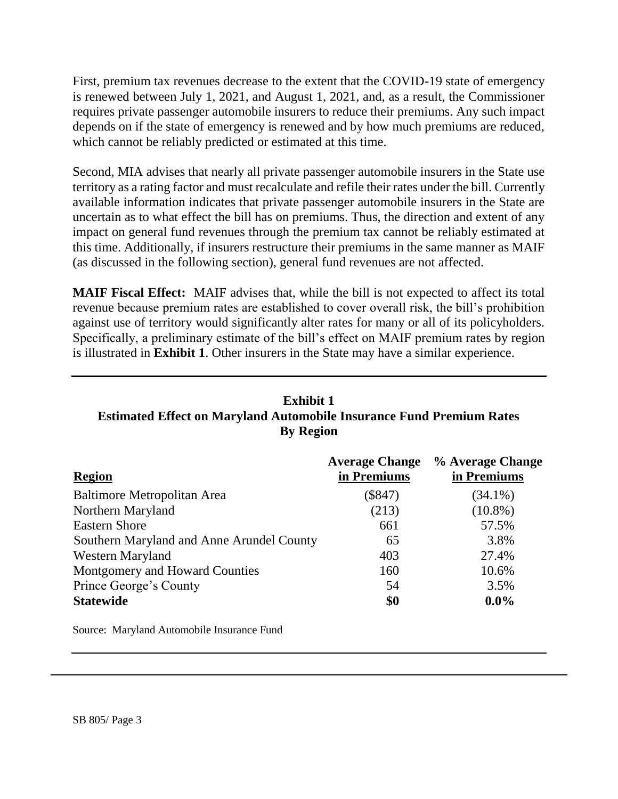First, premium tax revenues decrease to the extent that the COVID-19 state of emergency is renewed between July 1, 2021, and August 1, 2021, and, as a result, the Commissioner requires private passenger automobile insurers to reduce their premiums. Any such impact depends on if the state of emergency is renewed and by how much premiums are reduced, which cannot be reliably predicted or estimated at this time.

Second, MIA advises that nearly all private passenger automobile insurers in the State use territory as a rating factor and must recalculate and refile their rates under the bill. Currently available information indicates that private passenger automobile insurers in the State are uncertain as to what effect the bill has on premiums. Thus, the direction and extent of any impact on general fund revenues through the premium tax cannot be reliably estimated at this time. Additionally, if insurers restructure their premiums in the same manner as MAIF (as discussed in the following section), general fund revenues are not affected.

**MAIF Fiscal Effect:** MAIF advises that, while the bill is not expected to affect its total revenue because premium rates are established to cover overall risk, the bill's prohibition against use of territory would significantly alter rates for many or all of its policyholders. Specifically, a preliminary estimate of the bill's effect on MAIF premium rates by region is illustrated in **Exhibit 1**. Other insurers in the State may have a similar experience.

# **Exhibit 1 Estimated Effect on Maryland Automobile Insurance Fund Premium Rates By Region**

|                                           | <b>Average Change</b> | % Average Change |
|-------------------------------------------|-----------------------|------------------|
| <b>Region</b>                             | in Premiums           | in Premiums      |
| Baltimore Metropolitan Area               | $(\$847)$             | $(34.1\%)$       |
| Northern Maryland                         | (213)                 | $(10.8\%)$       |
| <b>Eastern Shore</b>                      | 661                   | 57.5%            |
| Southern Maryland and Anne Arundel County | 65                    | 3.8%             |
| <b>Western Maryland</b>                   | 403                   | 27.4%            |
| Montgomery and Howard Counties            | 160                   | 10.6%            |
| Prince George's County                    | 54                    | 3.5%             |
| <b>Statewide</b>                          | \$0                   | $0.0\%$          |

Source: Maryland Automobile Insurance Fund